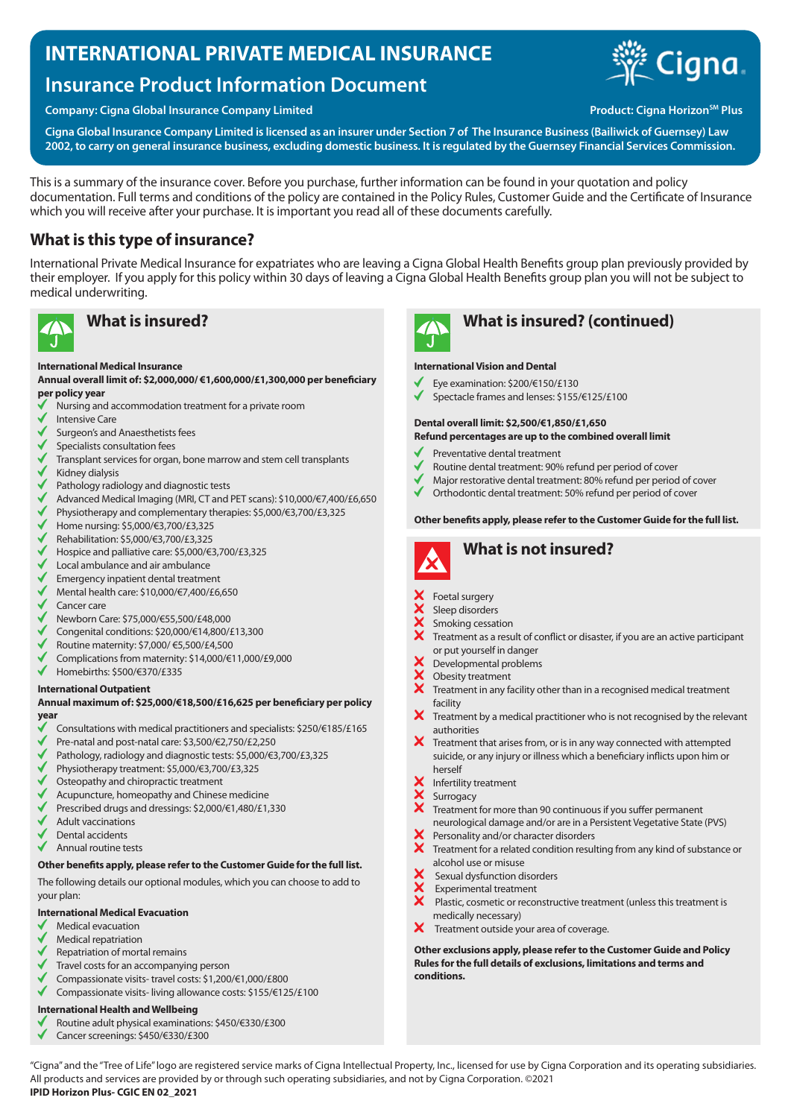# **INTERNATIONAL PRIVATE MEDICAL INSURANCE**

# **Insurance Product Information Document**

### **Company: Cigna Global Insurance Company Limited Product: Cigna Horizon<sup>SM</sup> Plus**



**Cigna Global Insurance Company Limited is licensed as an insurer under Section 7 of The Insurance Business (Bailiwick of Guernsey) Law 2002, to carry on general insurance business, excluding domestic business. It is regulated by the Guernsey Financial Services Commission.**

This is a summary of the insurance cover. Before you purchase, further information can be found in your quotation and policy documentation. Full terms and conditions of the policy are contained in the Policy Rules, Customer Guide and the Certificate of Insurance which you will receive after your purchase. It is important you read all of these documents carefully.

# **What is this type of insurance?**

International Private Medical Insurance for expatriates who are leaving a Cigna Global Health Benefits group plan previously provided by their employer. If you apply for this policy within 30 days of leaving a Cigna Global Health Benefits group plan you will not be subject to medical underwriting.



#### **International Medical Insurance**

**Annual overall limit of: \$2,000,000/ €1,600,000/£1,300,000 per beneficiary per policy year**

- Nursing and accommodation treatment for a private room
- Intensive Care
- Surgeon's and Anaesthetists fees
- Specialists consultation fees
- Transplant services for organ, bone marrow and stem cell transplants
- Kidney dialysis
- Pathology radiology and diagnostic tests
- Advanced Medical Imaging (MRI, CT and PET scans): \$10,000/€7,400/£6,650
- Physiotherapy and complementary therapies: \$5,000/€3,700/£3,325
- Home nursing: \$5,000/€3,700/£3,325
- Rehabilitation: \$5,000/€3,700/£3,325
- Hospice and palliative care: \$5,000/€3,700/£3,325
- Local ambulance and air ambulance
- Emergency inpatient dental treatment
- Mental health care: \$10,000/€7,400/£6,650
- Cancer care
- Newborn Care: \$75,000/€55,500/£48,000
- Congenital conditions: \$20,000/€14,800/£13,300
- Routine maternity: \$7,000/ €5,500/£4,500
- Complications from maternity: \$14,000/€11,000/£9,000
- ✔ Homebirths: \$500/€370/£335

#### **International Outpatient**

#### **Annual maximum of: \$25,000/€18,500/£16,625 per beneficiary per policy year**

- Consultations with medical practitioners and specialists: \$250/€185/£165
- Pre-natal and post-natal care: \$3,500/€2,750/£2,250
- Pathology, radiology and diagnostic tests: \$5,000/€3,700/£3,325
- Physiotherapy treatment: \$5,000/€3,700/£3,325
- Osteopathy and chiropractic treatment
- Acupuncture, homeopathy and Chinese medicine
- Prescribed drugs and dressings: \$2,000/€1,480/£1,330
- Adult vaccinations
- Dental accidents
- Annual routine tests

#### **Other benefits apply, please refer to the Customer Guide for the full list.**

The following details our optional modules, which you can choose to add to your plan:

#### **International Medical Evacuation**

- Medical evacuation
- Medical repatriation
- Repatriation of mortal remains
- Travel costs for an accompanying person
- Compassionate visits- travel costs: \$1,200/€1,000/£800
- Compassionate visits- living allowance costs: \$155/€125/£100

### **International Health and Wellbeing**

- Routine adult physical examinations: \$450/€330/£300
- Cancer screenings: \$450/€330/£300



# **What is insured? What is insured? (continued)**

#### **International Vision and Dental**

- Eye examination: \$200/€150/£130
- Spectacle frames and lenses: \$155/€125/£100

#### **Dental overall limit: \$2,500/€1,850/£1,650 Refund percentages are up to the combined overall limit**

- Preventative dental treatment
- 
- Routine dental treatment: 90% refund per period of cover
- Major restorative dental treatment: 80% refund per period of cover  $\checkmark$
- Orthodontic dental treatment: 50% refund per period of cover

#### **Other benefits apply, please refer to the Customer Guide for the full list.**



- Foetal surgery
- Sleep disorders
- Smoking cessation
- Treatment as a result of conflict or disaster, if you are an active participant or put yourself in danger
- Developmental problems
- XXX Obesity treatment
- Treatment in any facility other than in a recognised medical treatment facility
- $\boldsymbol{\mathsf{X}}$ Treatment by a medical practitioner who is not recognised by the relevant authorities
- $\boldsymbol{\times}$  Treatment that arises from, or is in any way connected with attempted suicide, or any injury or illness which a beneficiary inflicts upon him or herself
- Infertility treatment
- XXX Surrogacy
	- Treatment for more than 90 continuous if you suffer permanent
	- neurological damage and/or are in a Persistent Vegetative State (PVS)
- Personality and/or character disorders
- Treatment for a related condition resulting from any kind of substance or alcohol use or misuse
- Sexual dysfunction disorders
- Experimental treatment
- $\ddot{\mathbf{x}}$  Plastic, cosmetic or reconstructive treatment (unless this treatment is medically necessary)
- $\boldsymbol{\times}$ Treatment outside your area of coverage.

**Other exclusions apply, please refer to the Customer Guide and Policy Rules for the full details of exclusions, limitations and terms and conditions.**

"Cigna" and the "Tree of Life" logo are registered service marks of Cigna Intellectual Property, Inc., licensed for use by Cigna Corporation and its operating subsidiaries. All products and services are provided by or through such operating subsidiaries, and not by Cigna Corporation. ©2021 **IPID Horizon Plus- CGIC EN 02\_2021**